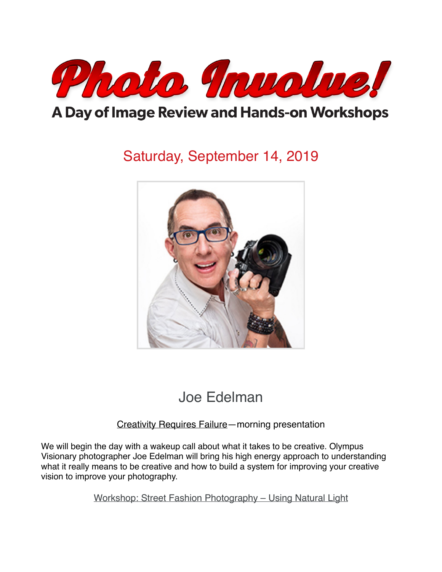

## A Day of Image Review and Hands-on Workshops

# Saturday, September 14, 2019



## Joe Edelman

### Creativity Requires Failure—morning presentation

We will begin the day with a wakeup call about what it takes to be creative. Olympus Visionary photographer Joe Edelman will bring his high energy approach to understanding what it really means to be creative and how to build a system for improving your creative vision to improve your photography.

Workshop: Street Fashion Photography – Using Natural Light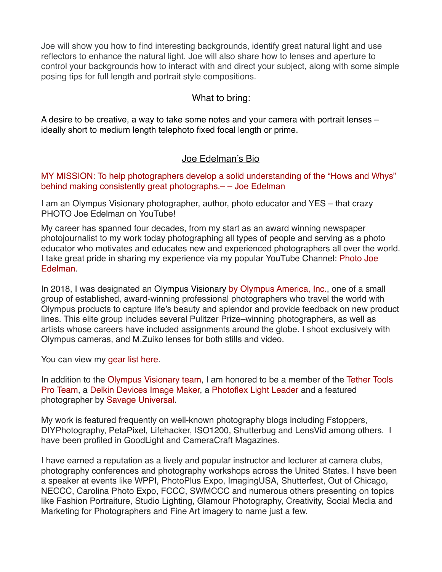Joe will show you how to find interesting backgrounds, identify great natural light and use reflectors to enhance the natural light. Joe will also share how to lenses and aperture to control your backgrounds how to interact with and direct your subject, along with some simple posing tips for full length and portrait style compositions.

### What to bring:

A desire to be creative, a way to take some notes and your camera with portrait lenses – ideally short to medium length telephoto fixed focal length or prime.

#### Joe Edelman's Bio

MY MISSION: To help photographers develop a solid understanding of the "Hows and Whys" behind making consistently great photographs.– – Joe Edelman

I am an Olympus Visionary photographer, author, photo educator and YES – that crazy PHOTO Joe Edelman on YouTube!

My career has spanned four decades, from my start as an award winning newspaper photojournalist to my work today photographing all types of people and serving as a photo educator who motivates and educates new and experienced photographers all over the world. I take great pride in sharing my experience via my popular YouTube Channel: [Photo Joe](http://www.youtube.com/PhotoJoeEdelman)  [Edelman](http://www.youtube.com/PhotoJoeEdelman).

In 2018, I was designated an [Olympus Visionary](https://www.getolympus.com/us/en/visionaries/joe_edelman) [by Olympus America, Inc.,](https://www.getolympus.com/us/en/visionaries/joe_edelman) one of a small group of established, award-winning professional photographers who travel the world with Olympus products to capture life's beauty and splendor and provide feedback on new product lines. This elite group includes several Pulitzer Prize–winning photographers, as well as artists whose careers have included assignments around the globe. I shoot exclusively with Olympus cameras, and M.Zuiko lenses for both stills and video.

You can view my [gear list here](https://www.joeedelman.com/my-gear/).

In addition to the [Olympus Visionary team,](https://www.getolympus.com/us/en/visionaries/joe_edelman) I am honored to be a member of the [Tether Tools](https://www.tethertools.com/pros/joe-edelman/)  [Pro Team](https://www.tethertools.com/pros/joe-edelman/), a [Delkin Devices Image Maker,](https://www.delkindevices.com/imagemaker/joe-edelman/) a [Photoflex Light Leader](http://www.photoflex.com/light-leaders/joe-edelman/) and a featured photographer by [Savage Universal](https://savageuniversal.com/blog/featured-photographers/joe-edelman/).

My work is featured frequently on well-known photography blogs including Fstoppers, DIYPhotography, PetaPixel, Lifehacker, ISO1200, Shutterbug and LensVid among others. I have been profiled in GoodLight and CameraCraft Magazines.

I have earned a reputation as a lively and popular instructor and lecturer at camera clubs, photography conferences and photography workshops across the United States. I have been a speaker at events like WPPI, PhotoPlus Expo, ImagingUSA, Shutterfest, Out of Chicago, NECCC, Carolina Photo Expo, FCCC, SWMCCC and numerous others presenting on topics like Fashion Portraiture, Studio Lighting, Glamour Photography, Creativity, Social Media and Marketing for Photographers and Fine Art imagery to name just a few.